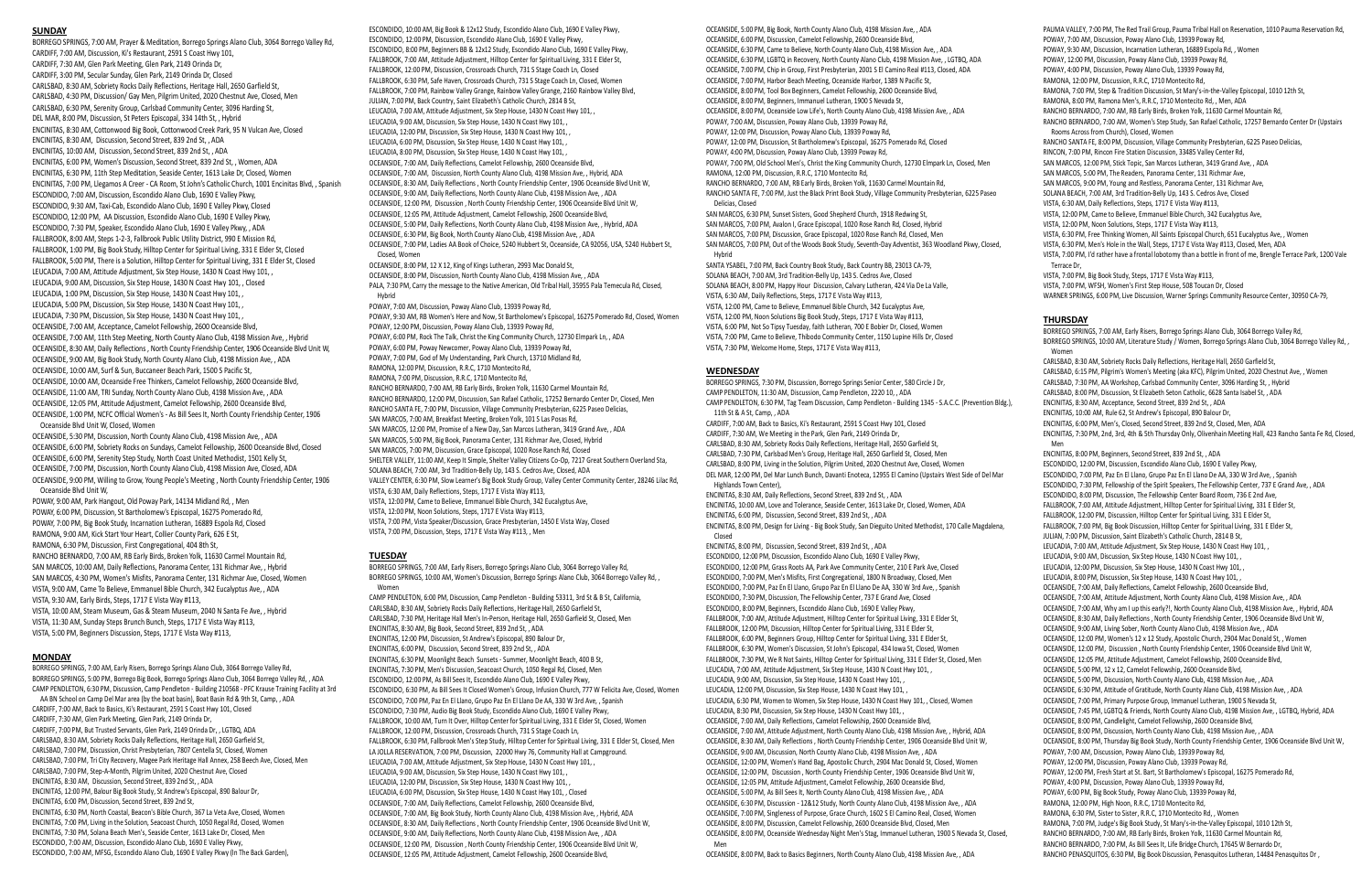#### **SUNDAY**

BORREGO SPRINGS, 7:00 AM, Prayer & Meditation, Borrego Springs Alano Club, 3064 Borrego Valley Rd, CARDIFF, 7:00 AM, Discussion, Ki's Restaurant, 2591 S Coast Hwy 101, CARDIFF, 7:30 AM, Glen Park Meeting, Glen Park, 2149 Orinda Dr, CARDIFF, 3:00 PM, Secular Sunday, Glen Park, 2149 Orinda Dr, Closed CARLSBAD, 8:30 AM, Sobriety Rocks Daily Reflections, Heritage Hall, 2650 Garfield St, CARLSBAD, 4:30 PM, Discussion/ Gay Men, Pilgrim United, 2020 Chestnut Ave, Closed, Men CARLSBAD, 6:30 PM, Serenity Group, Carlsbad Community Center, 3096 Harding St, DEL MAR, 8:00 PM, Discussion, St Peters Episcopal, 334 14th St, , Hybrid ENCINITAS, 8:30 AM, Cottonwood Big Book, Cottonwood Creek Park, 95 N Vulcan Ave, Closed ENCINITAS, 8:30 AM, Discussion, Second Street, 839 2nd St, , ADA ENCINITAS, 10:00 AM, Discussion, Second Street, 839 2nd St, , ADA ENCINITAS, 6:00 PM, Women's Discussion, Second Street, 839 2nd St, , Women, ADA ENCINITAS, 6:30 PM, 11th Step Meditation, Seaside Center, 1613 Lake Dr, Closed, Women ENCINITAS, 7:00 PM, Llegamos A Creer - CA Room, St John's Catholic Church, 1001 Encinitas Blvd, , Spanish ESCONDIDO, 7:00 AM, Discussion, Escondido Alano Club, 1690 E Valley Pkwy, ESCONDIDO, 9:30 AM, Taxi-Cab, Escondido Alano Club, 1690 E Valley Pkwy, Closed ESCONDIDO, 12:00 PM, AA Discussion, Escondido Alano Club, 1690 E Valley Pkwy, ESCONDIDO, 7:30 PM, Speaker, Escondido Alano Club, 1690 E Valley Pkwy, , ADA FALLBROOK, 8:00 AM, Steps 1-2-3, Fallbrook Public Utility District, 990 E Mission Rd, FALLBROOK, 1:00 PM, Big Book Study, Hilltop Center for Spiritual Living, 331 E Elder St, Closed FALLBROOK, 5:00 PM, There is a Solution, Hilltop Center for Spiritual Living, 331 E Elder St, Closed LEUCADIA, 7:00 AM, Attitude Adjustment, Six Step House, 1430 N Coast Hwy 101, , LEUCADIA, 9:00 AM, Discussion, Six Step House, 1430 N Coast Hwy 101, , Closed LEUCADIA, 1:00 PM, Discussion, Six Step House, 1430 N Coast Hwy 101, , LEUCADIA, 5:00 PM, Discussion, Six Step House, 1430 N Coast Hwy 101, , LEUCADIA, 7:30 PM, Discussion, Six Step House, 1430 N Coast Hwy 101, , OCEANSIDE, 7:00 AM, Acceptance, Camelot Fellowship, 2600 Oceanside Blvd, OCEANSIDE, 7:00 AM, 11th Step Meeting, North County Alano Club, 4198 Mission Ave, , Hybrid OCEANSIDE, 8:30 AM, Daily Reflections , North County Friendship Center, 1906 Oceanside Blvd Unit W, OCEANSIDE, 9:00 AM, Big Book Study, North County Alano Club, 4198 Mission Ave, , ADA OCEANSIDE, 10:00 AM, Surf & Sun, Buccaneer Beach Park, 1500 S Pacific St, OCEANSIDE, 10:00 AM, Oceanside Free Thinkers, Camelot Fellowship, 2600 Oceanside Blvd, OCEANSIDE, 11:00 AM, TRI Sunday, North County Alano Club, 4198 Mission Ave, , ADA OCEANSIDE, 12:05 PM, Attitude Adjustment, Camelot Fellowship, 2600 Oceanside Blvd, OCEANSIDE, 1:00 PM, NCFC Official Women's - As Bill Sees It, North County Friendship Center, 1906 Oceanside Blvd Unit W, Closed, Women

OCEANSIDE, 5:30 PM, Discussion, North County Alano Club, 4198 Mission Ave, , ADA OCEANSIDE, 6:00 PM, Sobriety Rocks on Sundays, Camelot Fellowship, 2600 Oceanside Blvd, Closed OCEANSIDE, 6:00 PM, Serenity Step Study, North Coast United Methodist, 1501 Kelly St, OCEANSIDE, 7:00 PM, Discussion, North County Alano Club, 4198 Mission Ave, Closed, ADA OCEANSIDE, 9:00 PM, Willing to Grow, Young People's Meeting , North County Friendship Center, 1906 Oceanside Blvd Unit W,

POWAY, 9:00 AM, Park Hangout, Old Poway Park, 14134 Midland Rd, , Men POWAY, 6:00 PM, Discussion, St Bartholomew's Episcopal, 16275 Pomerado Rd, POWAY, 7:00 PM, Big Book Study, Incarnation Lutheran, 16889 Espola Rd, Closed RAMONA, 9:00 AM, Kick Start Your Heart, Collier County Park, 626 E St, RAMONA, 6:30 PM, Discussion, First Congregational, 404 8th St, RANCHO BERNARDO, 7:00 AM, RB Early Birds, Broken Yolk, 11630 Carmel Mountain Rd, SAN MARCOS, 10:00 AM, Daily Reflections, Panorama Center, 131 Richmar Ave, , Hybrid SAN MARCOS, 4:30 PM, Women's Misfits, Panorama Center, 131 Richmar Ave, Closed, Women VISTA, 9:00 AM, Came To Believe, Emmanuel Bible Church, 342 Eucalyptus Ave, , ADA VISTA, 9:30 AM, Early Birds, Steps, 1717 E Vista Way #113, VISTA, 10:00 AM, Steam Museum, Gas & Steam Museum, 2040 N Santa Fe Ave, , Hybrid VISTA, 11:30 AM, Sunday Steps Brunch Bunch, Steps, 1717 E Vista Way #113, VISTA, 5:00 PM, Beginners Discussion, Steps, 1717 E Vista Way #113,

#### **MONDAY**

BORREGO SPRINGS, 7:00 AM, Early Risers, Borrego Springs Alano Club, 3064 Borrego Valley Rd, BORREGO SPRINGS, 10:00 AM, Women's Discussion, Borrego Springs Alano Club, 3064 Borrego Valley Rd, , **Women** 

BORREGO SPRINGS, 7:00 AM, Early Risers, Borrego Springs Alano Club, 3064 Borrego Valley Rd, BORREGO SPRINGS, 5:00 PM, Borrego Big Book, Borrego Springs Alano Club, 3064 Borrego Valley Rd, , ADA CAMP PENDLETON, 6:30 PM, Discussion, Camp Pendleton - Building 210568 - PFC Krause Training Facility at 3rd AA BN School on Camp Del Mar area (by the boat basin), Boat Basin Rd & 9th St, Camp, , ADA CARDIFF, 7:00 AM, Back to Basics, Ki's Restaurant, 2591 S Coast Hwy 101, Closed CARDIFF, 7:30 AM, Glen Park Meeting, Glen Park, 2149 Orinda Dr, CARDIFF, 7:00 PM, But Trusted Servants, Glen Park, 2149 Orinda Dr, , LGTBQ, ADA CARLSBAD, 8:30 AM, Sobriety Rocks Daily Reflections, Heritage Hall, 2650 Garfield St, CARLSBAD, 7:00 PM, Discussion, Christ Presbyterian, 7807 Centella St, Closed, Women CARLSBAD, 7:00 PM, Tri City Recovery, Magee Park Heritage Hall Annex, 258 Beech Ave, Closed, Men CARLSBAD, 7:00 PM, Step-A-Month, Pilgrim United, 2020 Chestnut Ave, Closed ENCINITAS, 8:30 AM, Discussion, Second Street, 839 2nd St, , ADA ENCINITAS, 12:00 PM, Balour Big Book Study, St Andrew's Episcopal, 890 Balour Dr, ENCINITAS, 6:00 PM, Discussion, Second Street, 839 2nd St, ENCINITAS, 6:30 PM, North Coastal, Beacon's Bible Church, 367 La Veta Ave, Closed, Women ENCINITAS, 7:00 PM, Living in the Solution, Seacoast Church, 1050 Regal Rd, Closed, Women ENCINITAS, 7:30 PM, Solana Beach Men's, Seaside Center, 1613 Lake Dr, Closed, Men ESCONDIDO, 7:00 AM, Discussion, Escondido Alano Club, 1690 E Valley Pkwy, ESCONDIDO, 7:00 AM, MFSG, Escondido Alano Club, 1690 E Valley Pkwy (In The Back Garden),

ESCONDIDO, 10:00 AM, Big Book & 12x12 Study, Escondido Alano Club, 1690 E Valley Pkwy, ESCONDIDO, 12:00 PM, Discussion, Escondido Alano Club, 1690 E Valley Pkwy, ESCONDIDO, 8:00 PM, Beginners BB & 12x12 Study, Escondido Alano Club, 1690 E Valley Pkwy, FALLBROOK, 7:00 AM, Attitude Adjustment, Hilltop Center for Spiritual Living, 331 E Elder St, FALLBROOK, 12:00 PM, Discussion, Crossroads Church, 731 S Stage Coach Ln, Closed FALLBROOK, 6:30 PM, Safe Haven, Crossroads Church, 731 S Stage Coach Ln, Closed, Women FALLBROOK, 7:00 PM, Rainbow Valley Grange, Rainbow Valley Grange, 2160 Rainbow Valley Blvd, JULIAN, 7:00 PM, Back Country, Saint Elizabeth's Catholic Church, 2814 B St, LEUCADIA, 7:00 AM, Attitude Adjustment, Six Step House, 1430 N Coast Hwy 101, , LEUCADIA, 9:00 AM, Discussion, Six Step House, 1430 N Coast Hwy 101, , LEUCADIA, 12:00 PM, Discussion, Six Step House, 1430 N Coast Hwy 101, , LEUCADIA, 6:00 PM, Discussion, Six Step House, 1430 N Coast Hwy 101, , LEUCADIA, 8:00 PM, Discussion, Six Step House, 1430 N Coast Hwy 101, , OCEANSIDE, 7:00 AM, Daily Reflections, Camelot Fellowship, 2600 Oceanside Blvd, OCEANSIDE, 7:00 AM, Discussion, North County Alano Club, 4198 Mission Ave, , Hybrid, ADA OCEANSIDE, 8:30 AM, Daily Reflections , North County Friendship Center, 1906 Oceanside Blvd Unit W, OCEANSIDE, 9:00 AM, Daily Reflections, North County Alano Club, 4198 Mission Ave, , ADA OCEANSIDE, 12:00 PM, Discussion , North County Friendship Center, 1906 Oceanside Blvd Unit W, OCEANSIDE, 12:05 PM, Attitude Adjustment, Camelot Fellowship, 2600 Oceanside Blvd, OCEANSIDE, 5:00 PM, Daily Reflections, North County Alano Club, 4198 Mission Ave, , Hybrid, ADA OCEANSIDE, 6:30 PM, Big Book, North County Alano Club, 4198 Mission Ave, , ADA OCEANSIDE, 7:00 PM, Ladies AA Book of Choice, 5240 Hubbert St, Oceanside, CA 92056, USA, 5240 Hubbert St, Closed, Women OCEANSIDE, 8:00 PM, 12 X 12, King of Kings Lutheran, 2993 Mac Donald St, OCEANSIDE, 8:00 PM, Discussion, North County Alano Club, 4198 Mission Ave, , ADA PALA, 7:30 PM, Carry the message to the Native American, Old Tribal Hall, 35955 Pala Temecula Rd, Closed, Hybrid POWAY, 7:00 AM, Discussion, Poway Alano Club, 13939 Poway Rd, POWAY, 9:30 AM, RB Women's Here and Now, St Bartholomew's Episcopal, 16275 Pomerado Rd, Closed, Women POWAY, 12:00 PM, Discussion, Poway Alano Club, 13939 Poway Rd, POWAY, 6:00 PM, Rock The Talk, Christ the King Community Church, 12730 Elmpark Ln, , ADA POWAY, 6:00 PM, Poway Newcomer, Poway Alano Club, 13939 Poway Rd, POWAY, 7:00 PM, God of My Understanding, Park Church, 13710 Midland Rd, RAMONA, 12:00 PM, Discussion, R.R.C, 1710 Montecito Rd, RAMONA, 7:00 PM, Discussion, R.R.C, 1710 Montecito Rd,

RANCHO BERNARDO, 7:00 AM, RB Early Birds, Broken Yolk, 11630 Carmel Mountain Rd, RANCHO BERNARDO, 12:00 PM, Discussion, San Rafael Catholic, 17252 Bernardo Center Dr, Closed, Men RANCHO SANTA FE, 7:00 PM, Discussion, Village Community Presbyterian, 6225 Paseo Delicias, SAN MARCOS, 7:00 AM, Breakfast Meeting, Broken Yolk, 101 S Las Posas Rd, SAN MARCOS, 12:00 PM, Promise of a New Day, San Marcos Lutheran, 3419 Grand Ave, , ADA SAN MARCOS, 5:00 PM, Big Book, Panorama Center, 131 Richmar Ave, Closed, Hybrid SAN MARCOS, 7:00 PM, Discussion, Grace Episcopal, 1020 Rose Ranch Rd, Closed SHELTER VALLEY, 11:00 AM, Keep It Simple, Shelter Valley Citizens Co-Op, 7217 Great Southern Overland Sta, SOLANA BEACH, 7:00 AM, 3rd Tradition-Belly Up, 143 S. Cedros Ave, Closed, ADA VALLEY CENTER, 6:30 PM, Slow Learner's Big Book Study Group, Valley Center Community Center, 28246 Lilac Rd, VISTA, 6:30 AM, Daily Reflections, Steps, 1717 E Vista Way #113, VISTA, 12:00 PM, Came to Believe, Emmanuel Bible Church, 342 Eucalyptus Ave,

VISTA, 12:00 PM, Noon Solutions, Steps, 1717 E Vista Way #113,

VISTA, 7:00 PM, Vista Speaker/Discussion, Grace Presbyterian, 1450 E Vista Way, Closed

VISTA, 7:00 PM, Discussion, Steps, 1717 E Vista Way #113, , Men

### **TUESDAY**

CAMP PENDLETON, 6:00 PM, Discussion, Camp Pendleton - Building 53311, 3rd St & B St, California, CARLSBAD, 8:30 AM, Sobriety Rocks Daily Reflections, Heritage Hall, 2650 Garfield St, CARLSBAD, 7:30 PM, Heritage Hall Men's In-Person, Heritage Hall, 2650 Garfield St, Closed, Men ENCINITAS, 8:30 AM, Big Book, Second Street, 839 2nd St, , ADA ENCINITAS, 12:00 PM, Discussion, St Andrew's Episcopal, 890 Balour Dr, ENCINITAS, 6:00 PM, Discussion, Second Street, 839 2nd St, , ADA ENCINITAS, 6:30 PM, Moonlight Beach Sunsets - Summer, Moonlight Beach, 400 B St, ENCINITAS, 7:30 PM, Men's Discussion, Seacoast Church, 1050 Regal Rd, Closed, Men ESCONDIDO, 12:00 PM, As Bill Sees It, Escondido Alano Club, 1690 E Valley Pkwy, ESCONDIDO, 6:30 PM, As Bill Sees It Closed Women's Group, Infusion Church, 777 W Felicita Ave, Closed, Women ESCONDIDO, 7:00 PM, Paz En El Llano, Grupo Paz En El Llano De AA, 330 W 3rd Ave, , Spanish ESCONDIDO, 7:30 PM, Audio Big Book Study, Escondido Alano Club, 1690 E Valley Pkwy, FALLBROOK, 10:00 AM, Turn It Over, Hilltop Center for Spiritual Living, 331 E Elder St, Closed, Women FALLBROOK, 12:00 PM, Discussion, Crossroads Church, 731 S Stage Coach Ln, FALLBROOK, 6:30 PM, Fallbrook Men's Step Study, Hilltop Center for Spiritual Living, 331 E Elder St, Closed, Men LA JOLLA RESERVATION, 7:00 PM, Discussion, 22000 Hwy 76, Community Hall at Campground. LEUCADIA, 7:00 AM, Attitude Adjustment, Six Step House, 1430 N Coast Hwy 101, , LEUCADIA, 9:00 AM, Discussion, Six Step House, 1430 N Coast Hwy 101, , LEUCADIA, 12:00 PM, Discussion, Six Step House, 1430 N Coast Hwy 101, , LEUCADIA, 6:00 PM, Discussion, Six Step House, 1430 N Coast Hwy 101, , Closed OCEANSIDE, 7:00 AM, Daily Reflections, Camelot Fellowship, 2600 Oceanside Blvd, OCEANSIDE, 7:00 AM, Big Book Study, North County Alano Club, 4198 Mission Ave, , Hybrid, ADA OCEANSIDE, 8:30 AM, Daily Reflections , North County Friendship Center, 1906 Oceanside Blvd Unit W, OCEANSIDE, 9:00 AM, Daily Reflections, North County Alano Club, 4198 Mission Ave, , ADA OCEANSIDE, 12:00 PM, Discussion , North County Friendship Center, 1906 Oceanside Blvd Unit W, OCEANSIDE, 12:05 PM, Attitude Adjustment, Camelot Fellowship, 2600 Oceanside Blvd,

OCEANSIDE, 5:00 PM, Big Book, North County Alano Club, 4198 Mission Ave, , ADA OCEANSIDE, 6:00 PM, Discussion, Camelot Fellowship, 2600 Oceanside Blvd, OCEANSIDE, 6:30 PM, Came to Believe, North County Alano Club, 4198 Mission Ave, , ADA OCEANSIDE, 6:30 PM, LGBTQ in Recovery, North County Alano Club, 4198 Mission Ave, , LGTBQ, ADA OCEANSIDE, 7:00 PM, Chip in Group, First Presbyterian, 2001 S El Camino Real #113, Closed, ADA OCEANSIDE, 7:00 PM, Harbor Beach Meeting, Oceanside Harbor, 1389 N Pacific St, OCEANSIDE, 8:00 PM, Tool Box Beginners, Camelot Fellowship, 2600 Oceanside Blvd, OCEANSIDE, 8:00 PM, Beginners, Immanuel Lutheran, 1900 S Nevada St, OCEANSIDE, 8:00 PM, Oceanside Low Life's, North County Alano Club, 4198 Mission Ave, , ADA POWAY, 7:00 AM, Discussion, Poway Alano Club, 13939 Poway Rd, POWAY, 12:00 PM, Discussion, Poway Alano Club, 13939 Poway Rd, POWAY, 12:00 PM, Discussion, St Bartholomew's Episcopal, 16275 Pomerado Rd, Closed POWAY, 4:00 PM, Discussion, Poway Alano Club, 13939 Poway Rd, POWAY, 7:00 PM, Old School Men's, Christ the King Community Church, 12730 Elmpark Ln, Closed, Men RAMONA, 12:00 PM, Discussion, R.R.C, 1710 Montecito Rd, RANCHO BERNARDO, 7:00 AM, RB Early Birds, Broken Yolk, 11630 Carmel Mountain Rd, RANCHO SANTA FE, 7:00 PM, Just the Black Print Book Study, Village Community Presbyterian, 6225 Paseo Delicias, Closed SAN MARCOS, 6:30 PM, Sunset Sisters, Good Shepherd Church, 1918 Redwing St, SAN MARCOS, 7:00 PM, Avalon I, Grace Episcopal, 1020 Rose Ranch Rd, Closed, Hybrid SAN MARCOS, 7:00 PM, Discussion, Grace Episcopal, 1020 Rose Ranch Rd, Closed, Men SAN MARCOS, 7:00 PM, Out of the Woods Book Study, Seventh-Day Adventist, 363 Woodland Pkwy, Closed, Hybrid SANTA YSABEL, 7:00 PM, Back Country Book Study, Back Country BB, 23013 CA-79, SOLANA BEACH, 7:00 AM, 3rd Tradition-Belly Up, 143 S. Cedros Ave, Closed SOLANA BEACH, 8:00 PM, Happy Hour Discussion, Calvary Lutheran, 424 Via De La Valle, VISTA, 6:30 AM, Daily Reflections, Steps, 1717 E Vista Way #113, VISTA, 12:00 PM, Came to Believe, Emmanuel Bible Church, 342 Eucalyptus Ave, VISTA, 12:00 PM, Noon Solutions Big Book Study, Steps, 1717 E Vista Way #113, VISTA, 6:00 PM, Not So Tipsy Tuesday, faith Lutheran, 700 E Bobier Dr, Closed, Women VISTA, 7:00 PM, Came to Believe, Thibodo Community Center, 1150 Lupine Hills Dr, Closed VISTA, 7:30 PM, Welcome Home, Steps, 1717 E Vista Way #113,

#### **WEDNESDAY**

BORREGO SPRINGS, 7:30 PM, Discussion, Borrego Springs Senior Center, 580 Circle J Dr, CAMP PENDLETON, 11:30 AM, Discussion, Camp Pendleton, 2220 10, , ADA CAMP PENDLETON, 6:30 PM, Tag Team Discussion, Camp Pendleton - Building 1345 - S.A.C.C. (Prevention Bldg.), 11th St & A St, Camp, , ADA CARDIFF, 7:00 AM, Back to Basics, Ki's Restaurant, 2591 S Coast Hwy 101, Closed CARDIFF, 7:30 AM, We Meeting in the Park, Glen Park, 2149 Orinda Dr, CARLSBAD, 8:30 AM, Sobriety Rocks Daily Reflections, Heritage Hall, 2650 Garfield St, CARLSBAD, 7:30 PM, Carlsbad Men's Group, Heritage Hall, 2650 Garfield St, Closed, Men CARLSBAD, 8:00 PM, Living in the Solution, Pilgrim United, 2020 Chestnut Ave, Closed, Women DEL MAR, 12:00 PM, Del Mar Lunch Bunch, Davanti Enoteca, 12955 El Camino (Upstairs West Side of Del Mar Highlands Town Center), ENCINITAS, 8:30 AM, Daily Reflections, Second Street, 839 2nd St, , ADA ENCINITAS, 10:00 AM, Love and Tolerance, Seaside Center, 1613 Lake Dr, Closed, Women, ADA ENCINITAS, 6:00 PM, Discussion, Second Street, 839 2nd St, , ADA ENCINITAS, 8:00 PM, Design for Living - Big Book Study, San Dieguito United Methodist, 170 Calle Magdalena, Closed ENCINITAS, 8:00 PM, Discussion, Second Street, 839 2nd St, , ADA ESCONDIDO, 12:00 PM, Discussion, Escondido Alano Club, 1690 E Valley Pkwy, ESCONDIDO, 12:00 PM, Grass Roots AA, Park Ave Community Center, 210 E Park Ave, Closed ESCONDIDO, 7:00 PM, Men's Misfits, First Congregational, 1800 N Broadway, Closed, Men ESCONDIDO, 7:00 PM, Paz En El Llano, Grupo Paz En El Llano De AA, 330 W 3rd Ave, , Spanish ESCONDIDO, 7:30 PM, Discussion, The Fellowship Center, 737 E Grand Ave, Closed ESCONDIDO, 8:00 PM, Beginners, Escondido Alano Club, 1690 E Valley Pkwy, FALLBROOK, 7:00 AM, Attitude Adjustment, Hilltop Center for Spiritual Living, 331 E Elder St, FALLBROOK, 12:00 PM, Discussion, Hilltop Center for Spiritual Living, 331 E Elder St, FALLBROOK, 6:00 PM, Beginners Group, Hilltop Center for Spiritual Living, 331 E Elder St, FALLBROOK, 6:30 PM, Women's Discussion, St John's Episcopal, 434 Iowa St, Closed, Women FALLBROOK, 7:30 PM, We R Not Saints, Hilltop Center for Spiritual Living, 331 E Elder St, Closed, Men LEUCADIA, 7:00 AM, Attitude Adjustment, Six Step House, 1430 N Coast Hwy 101, , LEUCADIA, 9:00 AM, Discussion, Six Step House, 1430 N Coast Hwy 101, , LEUCADIA, 12:00 PM, Discussion, Six Step House, 1430 N Coast Hwy 101, , LEUCADIA, 6:30 PM, Women to Women, Six Step House, 1430 N Coast Hwy 101, , Closed, Women LEUCADIA, 8:30 PM, Discussion, Six Step House, 1430 N Coast Hwy 101, , OCEANSIDE, 7:00 AM, Daily Reflections, Camelot Fellowship, 2600 Oceanside Blvd, OCEANSIDE, 7:00 AM, Attitude Adjustment, North County Alano Club, 4198 Mission Ave, , Hybrid, ADA OCEANSIDE, 8:30 AM, Daily Reflections , North County Friendship Center, 1906 Oceanside Blvd Unit W, OCEANSIDE, 9:00 AM, Discussion, North County Alano Club, 4198 Mission Ave, , ADA OCEANSIDE, 12:00 PM, Women's Hand Bag, Apostolic Church, 2904 Mac Donald St, Closed, Women OCEANSIDE, 12:00 PM, Discussion , North County Friendship Center, 1906 Oceanside Blvd Unit W, OCEANSIDE, 12:05 PM, Attitude Adjustment, Camelot Fellowship, 2600 Oceanside Blvd, OCEANSIDE, 5:00 PM, As Bill Sees It, North County Alano Club, 4198 Mission Ave, , ADA OCEANSIDE, 6:30 PM, Discussion - 12&12 Study, North County Alano Club, 4198 Mission Ave, , ADA OCEANSIDE, 7:00 PM, Singleness of Purpose, Grace Church, 1602 S El Camino Real, Closed, Women OCEANSIDE, 8:00 PM, Discussion, Camelot Fellowship, 2600 Oceanside Blvd, Closed, Men OCEANSIDE, 8:00 PM, Oceanside Wednesday Night Men's Stag, Immanuel Lutheran, 1900 S Nevada St, Closed, Men

OCEANSIDE, 8:00 PM, Back to Basics Beginners, North County Alano Club, 4198 Mission Ave, , ADA

PAUMA VALLEY, 7:00 PM, The Red Trail Group, Pauma Tribal Hall on Reservation, 1010 Pauma Reservation Rd, POWAY, 7:00 AM, Discussion, Poway Alano Club, 13939 Poway Rd,

POWAY, 9:30 AM, Discussion, Incarnation Lutheran, 16889 Espola Rd, , Women

POWAY, 12:00 PM, Discussion, Poway Alano Club, 13939 Poway Rd,

POWAY, 4:00 PM, Discussion, Poway Alano Club, 13939 Poway Rd,

RAMONA, 12:00 PM, Discussion, R.R.C, 1710 Montecito Rd,

RAMONA, 7:00 PM, Step & Tradition Discussion, St Mary's-in-the-Valley Episcopal, 1010 12th St,

RAMONA, 8:00 PM, Ramona Men's, R.R.C, 1710 Montecito Rd, , Men, ADA

RANCHO BERNARDO, 7:00 AM, RB Early Birds, Broken Yolk, 11630 Carmel Mountain Rd,

RANCHO BERNARDO, 7:00 AM, Women's Step Study, San Rafael Catholic, 17257 Bernardo Center Dr (Upstairs Rooms Across from Church), Closed, Women

RANCHO SANTA FE, 8:00 PM, Discussion, Village Community Presbyterian, 6225 Paseo Delicias,

RINCON, 7:00 PM, Rincon Fire Station Discussion, 33485 Valley Center Rd,

SAN MARCOS, 12:00 PM, Stick Topic, San Marcos Lutheran, 3419 Grand Ave, , ADA

SAN MARCOS, 5:00 PM, The Readers, Panorama Center, 131 Richmar Ave,

SAN MARCOS, 9:00 PM, Young and Restless, Panorama Center, 131 Richmar Ave,

SOLANA BEACH, 7:00 AM, 3rd Tradition-Belly Up, 143 S. Cedros Ave, Closed

VISTA, 6:30 AM, Daily Reflections, Steps, 1717 E Vista Way #113,

VISTA, 12:00 PM, Came to Believe, Emmanuel Bible Church, 342 Eucalyptus Ave,

VISTA, 12:00 PM, Noon Solutions, Steps, 1717 E Vista Way #113,

VISTA, 6:30 PM, Free Thinking Women, All Saints Episcopal Church, 651 Eucalyptus Ave, , Women

VISTA, 6:30 PM, Men's Hole in the Wall, Steps, 1717 E Vista Way #113, Closed, Men, ADA

VISTA, 7:00 PM, I'd rather have a frontal lobotomy than a bottle in front of me, Brengle Terrace Park, 1200 Vale Terrace Dr,

VISTA, 7:00 PM, Big Book Study, Steps, 1717 E Vista Way #113,

VISTA, 7:00 PM, WFSH, Women's First Step House, 508 Toucan Dr, Closed

WARNER SPRINGS, 6:00 PM, Live Discussion, Warner Springs Community Resource Center, 30950 CA-79,

#### **THURSDAY**

BORREGO SPRINGS, 7:00 AM, Early Risers, Borrego Springs Alano Club, 3064 Borrego Valley Rd, BORREGO SPRINGS, 10:00 AM, Literature Study / Women, Borrego Springs Alano Club, 3064 Borrego Valley Rd, , Women CARLSBAD, 8:30 AM, Sobriety Rocks Daily Reflections, Heritage Hall, 2650 Garfield St, CARLSBAD, 6:15 PM, Pilgrim's Women's Meeting (aka KFC), Pilgrim United, 2020 Chestnut Ave, , Women CARLSBAD, 7:30 PM, AA Workshop, Carlsbad Community Center, 3096 Harding St, , Hybrid CARLSBAD, 8:00 PM, Discussion, St Elizabeth Seton Catholic, 6628 Santa Isabel St, , ADA ENCINITAS, 8:30 AM, Acceptance, Second Street, 839 2nd St, , ADA ENCINITAS, 10:00 AM, Rule 62, St Andrew's Episcopal, 890 Balour Dr, ENCINITAS, 6:00 PM, Men's, Closed, Second Street, 839 2nd St, Closed, Men, ADA ENCINITAS, 7:30 PM, 2nd, 3rd, 4th & 5th Thursday Only, Olivenhain Meeting Hall, 423 Rancho Santa Fe Rd, Closed, Men ENCINITAS, 8:00 PM, Beginners, Second Street, 839 2nd St, , ADA ESCONDIDO, 12:00 PM, Discussion, Escondido Alano Club, 1690 E Valley Pkwy, ESCONDIDO, 7:00 PM, Paz En El Llano, Grupo Paz En El Llano De AA, 330 W 3rd Ave, , Spanish ESCONDIDO, 7:30 PM, Fellowship of the Spirit Speakers, The Fellowship Center, 737 E Grand Ave, , ADA ESCONDIDO, 8:00 PM, Discussion, The Fellowship Center Board Room, 736 E 2nd Ave, FALLBROOK, 7:00 AM, Attitude Adjustment, Hilltop Center for Spiritual Living, 331 E Elder St, FALLBROOK, 12:00 PM, Discussion, Hilltop Center for Spiritual Living, 331 E Elder St, FALLBROOK, 7:00 PM, Big Book Discussion, Hilltop Center for Spiritual Living, 331 E Elder St, JULIAN, 7:00 PM, Discussion, Saint Elizabeth's Catholic Church, 2814 B St, LEUCADIA, 7:00 AM, Attitude Adjustment, Six Step House, 1430 N Coast Hwy 101, , LEUCADIA, 9:00 AM, Discussion, Six Step House, 1430 N Coast Hwy 101, , LEUCADIA, 12:00 PM, Discussion, Six Step House, 1430 N Coast Hwy 101, LEUCADIA, 8:00 PM, Discussion, Six Step House, 1430 N Coast Hwy 101, , OCEANSIDE, 7:00 AM, Daily Reflections, Camelot Fellowship, 2600 Oceanside Blvd, OCEANSIDE, 7:00 AM, Attitude Adjustment, North County Alano Club, 4198 Mission Ave, , ADA OCEANSIDE, 7:00 AM, Why am I up this early?!, North County Alano Club, 4198 Mission Ave, , Hybrid, ADA OCEANSIDE, 8:30 AM, Daily Reflections , North County Friendship Center, 1906 Oceanside Blvd Unit W, OCEANSIDE, 9:00 AM, Living Sober, North County Alano Club, 4198 Mission Ave, , ADA OCEANSIDE, 12:00 PM, Women's 12 x 12 Study, Apostolic Church, 2904 Mac Donald St, , Women OCEANSIDE, 12:00 PM, Discussion , North County Friendship Center, 1906 Oceanside Blvd Unit W, OCEANSIDE, 12:05 PM, Attitude Adjustment, Camelot Fellowship, 2600 Oceanside Blvd, OCEANSIDE, 5:00 PM, 12 x 12, Camelot Fellowship, 2600 Oceanside Blvd, OCEANSIDE, 5:00 PM, Discussion, North County Alano Club, 4198 Mission Ave, , ADA OCEANSIDE, 6:30 PM, Attitude of Gratitude, North County Alano Club, 4198 Mission Ave, , ADA OCEANSIDE, 7:00 PM, Primary Purpose Group, Immanuel Lutheran, 1900 S Nevada St, OCEANSIDE, 7:45 PM, LGBTQ & Friends, North County Alano Club, 4198 Mission Ave, , LGTBQ, Hybrid, ADA OCEANSIDE, 8:00 PM, Candlelight, Camelot Fellowship, 2600 Oceanside Blvd, OCEANSIDE, 8:00 PM, Discussion, North County Alano Club, 4198 Mission Ave, , ADA OCEANSIDE, 8:00 PM, Thursday Big Book Study, North County Friendship Center, 1906 Oceanside Blvd Unit W, POWAY, 7:00 AM, Discussion, Poway Alano Club, 13939 Poway Rd, POWAY, 12:00 PM, Discussion, Poway Alano Club, 13939 Poway Rd, POWAY, 12:00 PM, Fresh Start at St. Bart, St Bartholomew's Episcopal, 16275 Pomerado Rd, POWAY, 4:00 PM, Discussion, Poway Alano Club, 13939 Poway Rd, POWAY, 6:00 PM, Big Book Study, Poway Alano Club, 13939 Poway Rd, RAMONA, 12:00 PM, High Noon, R.R.C, 1710 Montecito Rd, RAMONA, 6:30 PM, Sister to Sister, R.R.C, 1710 Montecito Rd, , Women RAMONA, 7:00 PM, Judge's Big Book Study, St Mary's-in-the-Valley Episcopal, 1010 12th St, RANCHO BERNARDO, 7:00 AM, RB Early Birds, Broken Yolk, 11630 Carmel Mountain Rd, RANCHO BERNARDO, 7:00 PM, As Bill Sees It, Life Bridge Church, 17645 W Bernardo Dr, RANCHO PENASQUITOS, 6:30 PM, Big Book Discussion, Penasquitos Lutheran, 14484 Penasquitos Dr ,